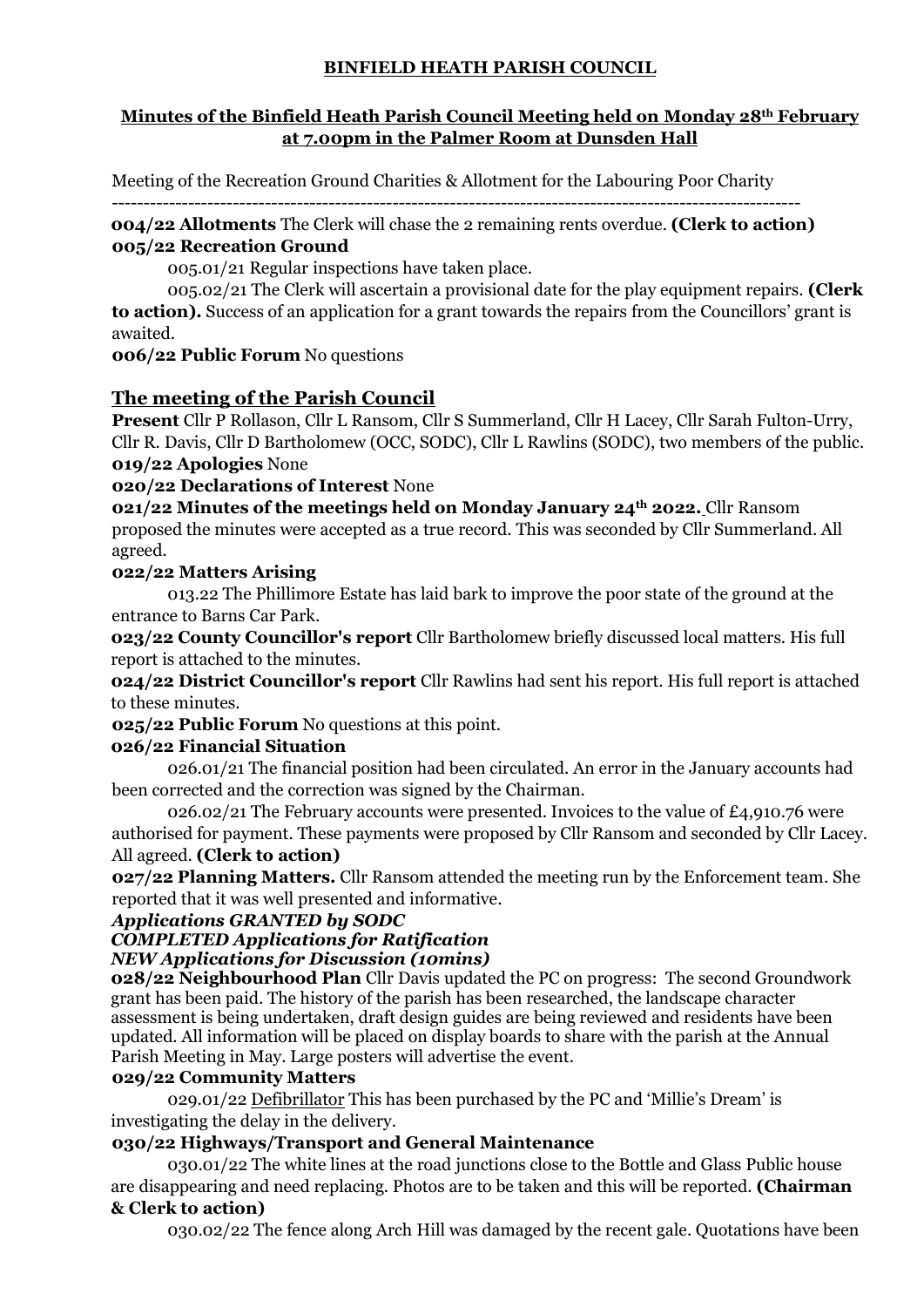# **BINFIELD HEATH PARISH COUNCIL**

### **Minutes of the Binfield Heath Parish Council Meeting held on Monday 28th February at 7.00pm in the Palmer Room at Dunsden Hall**

Meeting of the Recreation Ground Charities & Allotment for the Labouring Poor Charity

------------------------------------------------------------------------------------------------------------ **004/22 Allotments** The Clerk will chase the 2 remaining rents overdue. **(Clerk to action) 005/22 Recreation Ground**

005.01/21 Regular inspections have taken place.

005.02/21 The Clerk will ascertain a provisional date for the play equipment repairs. **(Clerk to action).** Success of an application for a grant towards the repairs from the Councillors' grant is awaited.

**006/22 Public Forum** No questions

# **The meeting of the Parish Council**

**Present** Cllr P Rollason, Cllr L Ransom, Cllr S Summerland, Cllr H Lacey, Cllr Sarah Fulton-Urry, Cllr R. Davis, Cllr D Bartholomew (OCC, SODC), Cllr L Rawlins (SODC), two members of the public. **019/22 Apologies** None

**020/22 Declarations of Interest** None

**021/22 Minutes of the meetings held on Monday January 24th 2022.** Cllr Ransom proposed the minutes were accepted as a true record. This was seconded by Cllr Summerland. All agreed.

### **022/22 Matters Arising**

013.22 The Phillimore Estate has laid bark to improve the poor state of the ground at the entrance to Barns Car Park.

**023/22 County Councillor's report** Cllr Bartholomew briefly discussed local matters. His full report is attached to the minutes.

**024/22 District Councillor's report** Cllr Rawlins had sent his report. His full report is attached to these minutes.

**025/22 Public Forum** No questions at this point.

### **026/22 Financial Situation**

026.01/21 The financial position had been circulated. An error in the January accounts had been corrected and the correction was signed by the Chairman.

026.02/21 The February accounts were presented. Invoices to the value of  $\text{\pounds}4.910.76$  were authorised for payment. These payments were proposed by Cllr Ransom and seconded by Cllr Lacey. All agreed. **(Clerk to action)**

**027/22 Planning Matters.** Cllr Ransom attended the meeting run by the Enforcement team. She reported that it was well presented and informative.

#### *Applications GRANTED by SODC*

### *COMPLETED Applications for Ratification*

### *NEW Applications for Discussion (10mins)*

**028/22 Neighbourhood Plan** Cllr Davis updated the PC on progress: The second Groundwork grant has been paid. The history of the parish has been researched, the landscape character assessment is being undertaken, draft design guides are being reviewed and residents have been updated. All information will be placed on display boards to share with the parish at the Annual Parish Meeting in May. Large posters will advertise the event.

### **029/22 Community Matters**

029.01/22 Defibrillator This has been purchased by the PC and 'Millie's Dream' is investigating the delay in the delivery.

### **030/22 Highways/Transport and General Maintenance**

030.01/22 The white lines at the road junctions close to the Bottle and Glass Public house are disappearing and need replacing. Photos are to be taken and this will be reported. **(Chairman & Clerk to action)**

030.02/22 The fence along Arch Hill was damaged by the recent gale. Quotations have been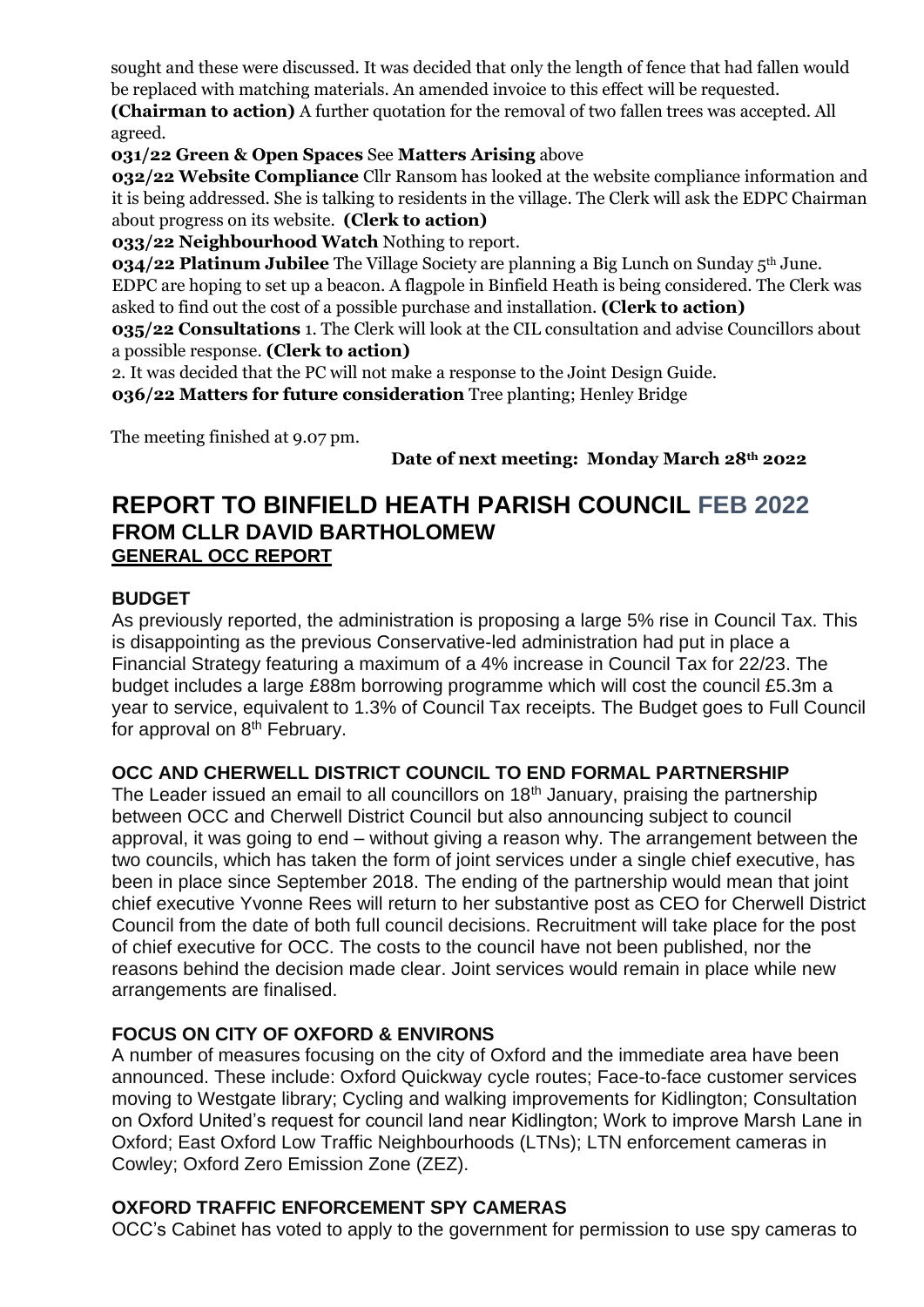sought and these were discussed. It was decided that only the length of fence that had fallen would be replaced with matching materials. An amended invoice to this effect will be requested.

**(Chairman to action)** A further quotation for the removal of two fallen trees was accepted. All agreed.

**031/22 Green & Open Spaces** See **Matters Arising** above

**032/22 Website Compliance** Cllr Ransom has looked at the website compliance information and it is being addressed. She is talking to residents in the village. The Clerk will ask the EDPC Chairman about progress on its website. **(Clerk to action)**

**033/22 Neighbourhood Watch** Nothing to report.

**034/22 Platinum Jubilee** The Village Society are planning a Big Lunch on Sunday 5<sup>th</sup> June. EDPC are hoping to set up a beacon. A flagpole in Binfield Heath is being considered. The Clerk was asked to find out the cost of a possible purchase and installation. **(Clerk to action)**

**035/22 Consultations** 1. The Clerk will look at the CIL consultation and advise Councillors about a possible response. **(Clerk to action)**

2. It was decided that the PC will not make a response to the Joint Design Guide.

**036/22 Matters for future consideration** Tree planting; Henley Bridge

The meeting finished at 9.07 pm.

**Date of next meeting: Monday March 28th 2022**

# **REPORT TO BINFIELD HEATH PARISH COUNCIL FEB 2022 FROM CLLR DAVID BARTHOLOMEW GENERAL OCC REPORT**

# **BUDGET**

As previously reported, the administration is proposing a large 5% rise in Council Tax. This is disappointing as the previous Conservative-led administration had put in place a Financial Strategy featuring a maximum of a 4% increase in Council Tax for 22/23. The budget includes a large £88m borrowing programme which will cost the council £5.3m a year to service, equivalent to 1.3% of Council Tax receipts. The Budget goes to Full Council for approval on 8<sup>th</sup> February.

# **OCC AND CHERWELL DISTRICT COUNCIL TO END FORMAL PARTNERSHIP**

The Leader issued an email to all councillors on 18<sup>th</sup> January, praising the partnership between OCC and Cherwell District Council but also announcing subject to council approval, it was going to end – without giving a reason why. The arrangement between the two councils, which has taken the form of joint services under a single chief executive, has been in place since September 2018. The ending of the partnership would mean that joint chief executive Yvonne Rees will return to her substantive post as CEO for Cherwell District Council from the date of both full council decisions. Recruitment will take place for the post of chief executive for OCC. The costs to the council have not been published, nor the reasons behind the decision made clear. Joint services would remain in place while new arrangements are finalised.

# **FOCUS ON CITY OF OXFORD & ENVIRONS**

A number of measures focusing on the city of Oxford and the immediate area have been announced. These include: Oxford Quickway cycle routes; Face-to-face customer services moving to Westgate library; Cycling and walking improvements for Kidlington; Consultation on Oxford United's request for council land near Kidlington; Work to improve Marsh Lane in Oxford; East Oxford Low Traffic Neighbourhoods (LTNs); LTN enforcement cameras in Cowley; Oxford Zero Emission Zone (ZEZ).

# **OXFORD TRAFFIC ENFORCEMENT SPY CAMERAS**

OCC's Cabinet has voted to apply to the government for permission to use spy cameras to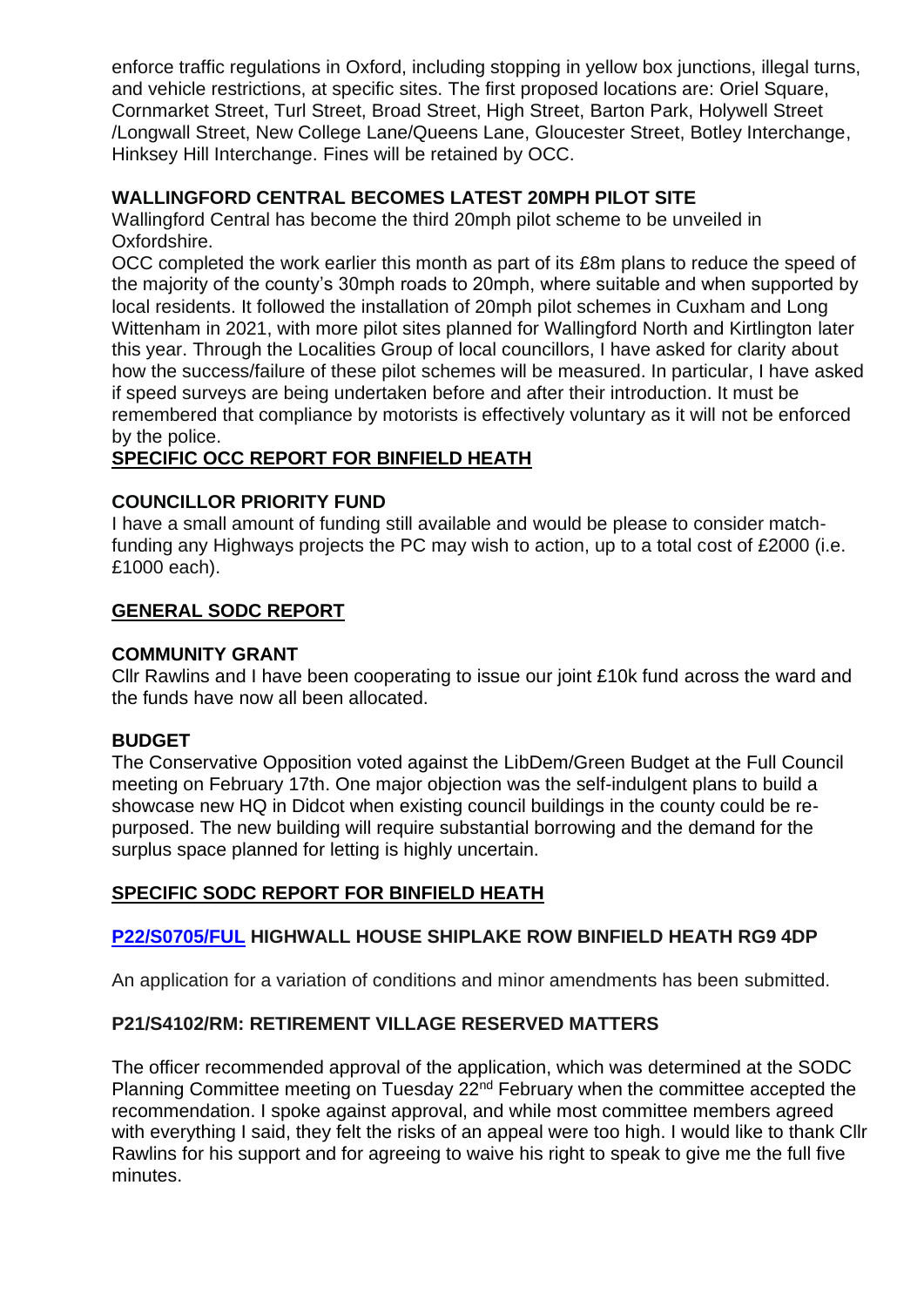enforce traffic regulations in Oxford, including stopping in yellow box junctions, illegal turns, and vehicle restrictions, at specific sites. The first proposed locations are: Oriel Square, Cornmarket Street, Turl Street, Broad Street, High Street, Barton Park, Holywell Street /Longwall Street, New College Lane/Queens Lane, Gloucester Street, Botley Interchange, Hinksey Hill Interchange. Fines will be retained by OCC.

# **WALLINGFORD CENTRAL BECOMES LATEST 20MPH PILOT SITE**

Wallingford Central has become the third 20mph pilot scheme to be unveiled in Oxfordshire.

OCC completed the work earlier this month as part of its £8m plans to reduce the speed of the majority of the county's 30mph roads to 20mph, where suitable and when supported by local residents. It followed the installation of 20mph pilot schemes in Cuxham and Long Wittenham in 2021, with more pilot sites planned for Wallingford North and Kirtlington later this year. Through the Localities Group of local councillors, I have asked for clarity about how the success/failure of these pilot schemes will be measured. In particular, I have asked if speed surveys are being undertaken before and after their introduction. It must be remembered that compliance by motorists is effectively voluntary as it will not be enforced by the police.

# **SPECIFIC OCC REPORT FOR BINFIELD HEATH**

# **COUNCILLOR PRIORITY FUND**

I have a small amount of funding still available and would be please to consider matchfunding any Highways projects the PC may wish to action, up to a total cost of £2000 (i.e. £1000 each).

# **GENERAL SODC REPORT**

#### **COMMUNITY GRANT**

Cllr Rawlins and I have been cooperating to issue our joint £10k fund across the ward and the funds have now all been allocated.

### **BUDGET**

The Conservative Opposition voted against the LibDem/Green Budget at the Full Council meeting on February 17th. One major objection was the self-indulgent plans to build a showcase new HQ in Didcot when existing council buildings in the county could be repurposed. The new building will require substantial borrowing and the demand for the surplus space planned for letting is highly uncertain.

# **SPECIFIC SODC REPORT FOR BINFIELD HEATH**

# **[P22/S0705/FUL](https://data.southoxon.gov.uk/ccm/support/Main.jsp?MODULE=ApplicationDetails&REF=P22/S0705/FUL) HIGHWALL HOUSE SHIPLAKE ROW BINFIELD HEATH RG9 4DP**

An application for a variation of conditions and minor amendments has been submitted.

### **P21/S4102/RM: RETIREMENT VILLAGE RESERVED MATTERS**

The officer recommended approval of the application, which was determined at the SODC Planning Committee meeting on Tuesday 22<sup>nd</sup> February when the committee accepted the recommendation. I spoke against approval, and while most committee members agreed with everything I said, they felt the risks of an appeal were too high. I would like to thank Cllr Rawlins for his support and for agreeing to waive his right to speak to give me the full five minutes.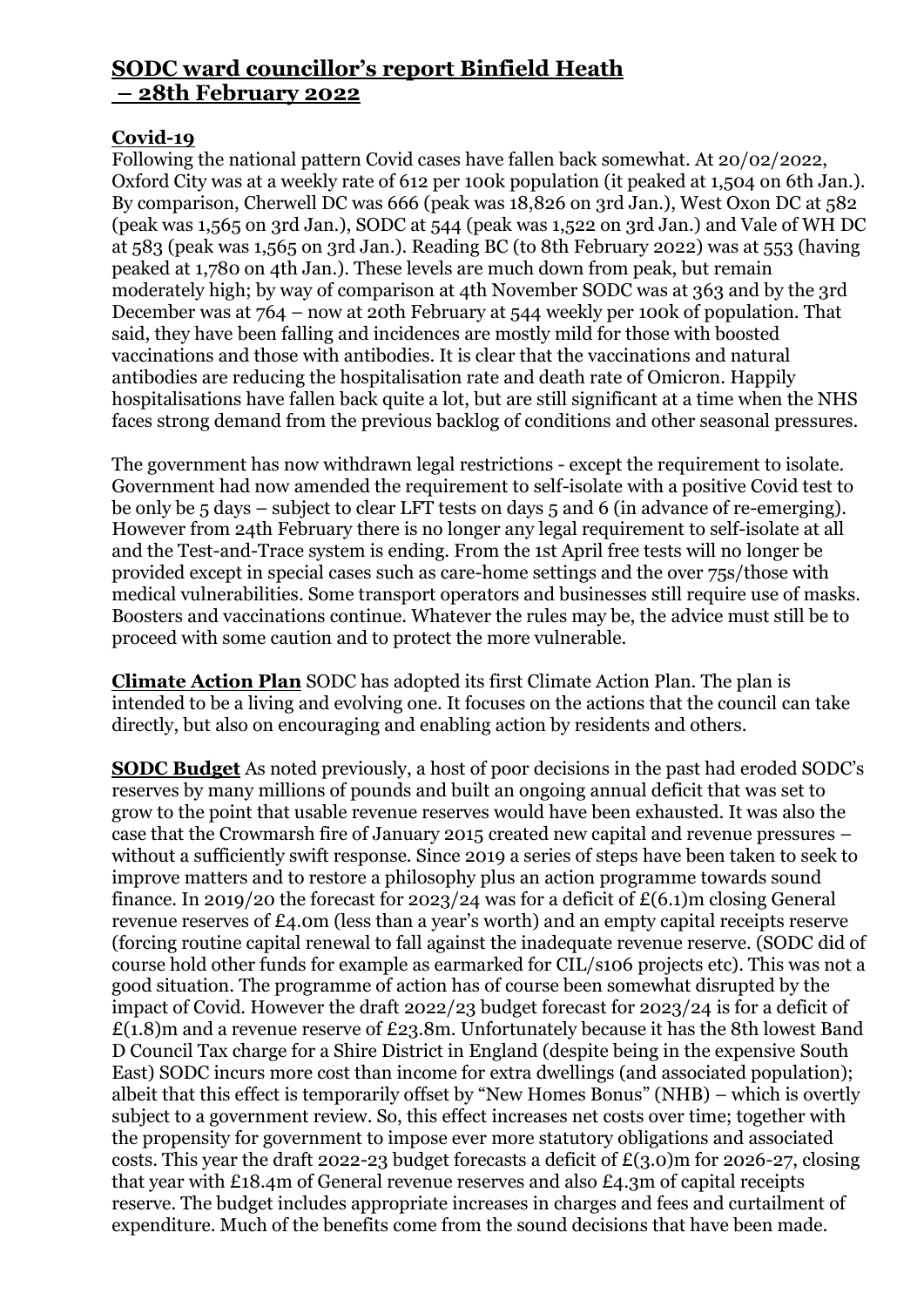# **SODC ward councillor's report Binfield Heath – 28th February 2022**

# **Covid-19**

Following the national pattern Covid cases have fallen back somewhat. At 20/02/2022, Oxford City was at a weekly rate of 612 per 100k population (it peaked at 1,504 on 6th Jan.). By comparison, Cherwell DC was 666 (peak was 18,826 on 3rd Jan.), West Oxon DC at 582 (peak was 1,565 on 3rd Jan.), SODC at 544 (peak was 1,522 on 3rd Jan.) and Vale of WH DC at 583 (peak was 1,565 on 3rd Jan.). Reading BC (to 8th February 2022) was at 553 (having peaked at 1,780 on 4th Jan.). These levels are much down from peak, but remain moderately high; by way of comparison at 4th November SODC was at 363 and by the 3rd December was at 764 – now at 20th February at 544 weekly per 100k of population. That said, they have been falling and incidences are mostly mild for those with boosted vaccinations and those with antibodies. It is clear that the vaccinations and natural antibodies are reducing the hospitalisation rate and death rate of Omicron. Happily hospitalisations have fallen back quite a lot, but are still significant at a time when the NHS faces strong demand from the previous backlog of conditions and other seasonal pressures.

The government has now withdrawn legal restrictions - except the requirement to isolate. Government had now amended the requirement to self-isolate with a positive Covid test to be only be 5 days – subject to clear LFT tests on days 5 and 6 (in advance of re-emerging). However from 24th February there is no longer any legal requirement to self-isolate at all and the Test-and-Trace system is ending. From the 1st April free tests will no longer be provided except in special cases such as care-home settings and the over 75s/those with medical vulnerabilities. Some transport operators and businesses still require use of masks. Boosters and vaccinations continue. Whatever the rules may be, the advice must still be to proceed with some caution and to protect the more vulnerable.

**Climate Action Plan** SODC has adopted its first Climate Action Plan. The plan is intended to be a living and evolving one. It focuses on the actions that the council can take directly, but also on encouraging and enabling action by residents and others.

**SODC Budget** As noted previously, a host of poor decisions in the past had eroded SODC's reserves by many millions of pounds and built an ongoing annual deficit that was set to grow to the point that usable revenue reserves would have been exhausted. It was also the case that the Crowmarsh fire of January 2015 created new capital and revenue pressures – without a sufficiently swift response. Since 2019 a series of steps have been taken to seek to improve matters and to restore a philosophy plus an action programme towards sound finance. In 2019/20 the forecast for 2023/24 was for a deficit of  $E(6.1)$ m closing General revenue reserves of £4.0m (less than a year's worth) and an empty capital receipts reserve (forcing routine capital renewal to fall against the inadequate revenue reserve. (SODC did of course hold other funds for example as earmarked for CIL/s106 projects etc). This was not a good situation. The programme of action has of course been somewhat disrupted by the impact of Covid. However the draft 2022/23 budget forecast for 2023/24 is for a deficit of £(1.8)m and a revenue reserve of £23.8m. Unfortunately because it has the 8th lowest Band D Council Tax charge for a Shire District in England (despite being in the expensive South East) SODC incurs more cost than income for extra dwellings (and associated population); albeit that this effect is temporarily offset by "New Homes Bonus" (NHB) – which is overtly subject to a government review. So, this effect increases net costs over time; together with the propensity for government to impose ever more statutory obligations and associated costs. This year the draft 2022-23 budget forecasts a deficit of  $E(3.0)$ m for 2026-27, closing that year with £18.4m of General revenue reserves and also £4.3m of capital receipts reserve. The budget includes appropriate increases in charges and fees and curtailment of expenditure. Much of the benefits come from the sound decisions that have been made.